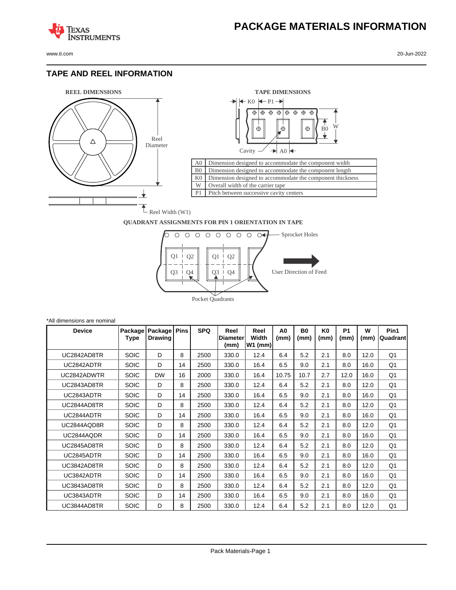**TEXAS** 

#### **TAPE AND REEL INFORMATION**

**ISTRUMENTS** 





#### **QUADRANT ASSIGNMENTS FOR PIN 1 ORIENTATION IN TAPE**



| *All dimensions are nominal |                 |                           |             |            |                                 |                            |                        |                        |                        |                   |           |                  |
|-----------------------------|-----------------|---------------------------|-------------|------------|---------------------------------|----------------------------|------------------------|------------------------|------------------------|-------------------|-----------|------------------|
| <b>Device</b>               | Package<br>Type | Package<br><b>Drawing</b> | <b>Pins</b> | <b>SPQ</b> | Reel<br><b>Diameter</b><br>(mm) | Reel<br>Width<br>$W1$ (mm) | A <sub>0</sub><br>(mm) | B <sub>0</sub><br>(mm) | K <sub>0</sub><br>(mm) | <b>P1</b><br>(mm) | W<br>(mm) | Pin1<br>Quadrant |
| UC2842AD8TR                 | <b>SOIC</b>     | D                         | 8           | 2500       | 330.0                           | 12.4                       | 6.4                    | 5.2                    | 2.1                    | 8.0               | 12.0      | Q <sub>1</sub>   |
| UC2842ADTR                  | <b>SOIC</b>     | D                         | 14          | 2500       | 330.0                           | 16.4                       | 6.5                    | 9.0                    | 2.1                    | 8.0               | 16.0      | Q <sub>1</sub>   |
| UC2842ADWTR                 | <b>SOIC</b>     | <b>DW</b>                 | 16          | 2000       | 330.0                           | 16.4                       | 10.75                  | 10.7                   | 2.7                    | 12.0              | 16.0      | Q <sub>1</sub>   |
| UC2843AD8TR                 | <b>SOIC</b>     | D                         | 8           | 2500       | 330.0                           | 12.4                       | 6.4                    | 5.2                    | 2.1                    | 8.0               | 12.0      | Q1               |
| UC2843ADTR                  | <b>SOIC</b>     | D                         | 14          | 2500       | 330.0                           | 16.4                       | 6.5                    | 9.0                    | 2.1                    | 8.0               | 16.0      | Q1               |
| UC2844AD8TR                 | <b>SOIC</b>     | D                         | 8           | 2500       | 330.0                           | 12.4                       | 6.4                    | 5.2                    | 2.1                    | 8.0               | 12.0      | Q1               |
| UC2844ADTR                  | <b>SOIC</b>     | D                         | 14          | 2500       | 330.0                           | 16.4                       | 6.5                    | 9.0                    | 2.1                    | 8.0               | 16.0      | Q1               |
| UC2844AQD8R                 | <b>SOIC</b>     | D                         | 8           | 2500       | 330.0                           | 12.4                       | 6.4                    | 5.2                    | 2.1                    | 8.0               | 12.0      | Q1               |
| UC2844AQDR                  | <b>SOIC</b>     | D                         | 14          | 2500       | 330.0                           | 16.4                       | 6.5                    | 9.0                    | 2.1                    | 8.0               | 16.0      | Q1               |
| UC2845AD8TR                 | <b>SOIC</b>     | D                         | 8           | 2500       | 330.0                           | 12.4                       | 6.4                    | 5.2                    | 2.1                    | 8.0               | 12.0      | Q <sub>1</sub>   |
| UC2845ADTR                  | <b>SOIC</b>     | D                         | 14          | 2500       | 330.0                           | 16.4                       | 6.5                    | 9.0                    | 2.1                    | 8.0               | 16.0      | Q <sub>1</sub>   |
| UC3842AD8TR                 | <b>SOIC</b>     | D                         | 8           | 2500       | 330.0                           | 12.4                       | 6.4                    | 5.2                    | 2.1                    | 8.0               | 12.0      | Q <sub>1</sub>   |
| UC3842ADTR                  | <b>SOIC</b>     | D                         | 14          | 2500       | 330.0                           | 16.4                       | 6.5                    | 9.0                    | 2.1                    | 8.0               | 16.0      | Q <sub>1</sub>   |
| UC3843AD8TR                 | <b>SOIC</b>     | D                         | 8           | 2500       | 330.0                           | 12.4                       | 6.4                    | 5.2                    | 2.1                    | 8.0               | 12.0      | Q1               |
| UC3843ADTR                  | <b>SOIC</b>     | D                         | 14          | 2500       | 330.0                           | 16.4                       | 6.5                    | 9.0                    | 2.1                    | 8.0               | 16.0      | Q1               |
| UC3844AD8TR                 | <b>SOIC</b>     | D                         | 8           | 2500       | 330.0                           | 12.4                       | 6.4                    | 5.2                    | 2.1                    | 8.0               | 12.0      | Q1               |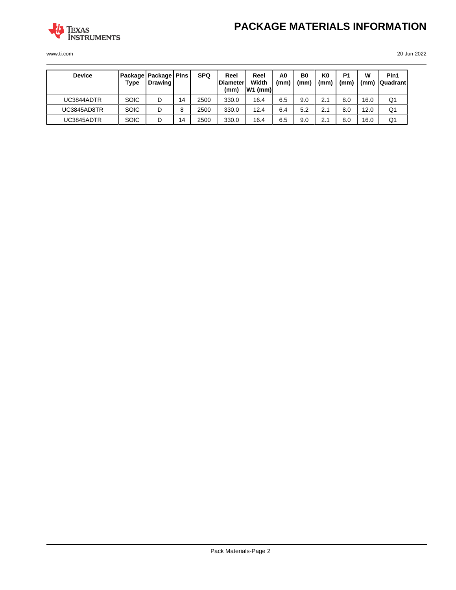

| <b>Device</b> | Type        | <b>Package   Package   Pins  </b><br>  Drawing |    | <b>SPQ</b> | Reel<br><b>Diameter</b><br>(mm) | Reel<br>Width<br>$ W1$ (mm) | A0<br>(mm) | B <sub>0</sub><br>(mm` | K0<br>(mm) | P <sub>1</sub><br>(mm) | w<br>(mm) | Pin1<br><b>QuadrantI</b> |
|---------------|-------------|------------------------------------------------|----|------------|---------------------------------|-----------------------------|------------|------------------------|------------|------------------------|-----------|--------------------------|
| UC3844ADTR    | <b>SOIC</b> | D                                              | 14 | 2500       | 330.0                           | 16.4                        | 6.5        | 9.0                    | 2.1        | 8.0                    | 16.0      | Q <sub>1</sub>           |
| UC3845AD8TR   | <b>SOIC</b> | D                                              | 8  | 2500       | 330.0                           | 12.4                        | 6.4        | 5.2                    | 2.1        | 8.0                    | 12.0      | Q <sub>1</sub>           |
| UC3845ADTR    | <b>SOIC</b> | D                                              | 14 | 2500       | 330.0                           | 16.4                        | 6.5        | 9.0                    | 2.1        | 8.0                    | 16.0      | Q <sub>1</sub>           |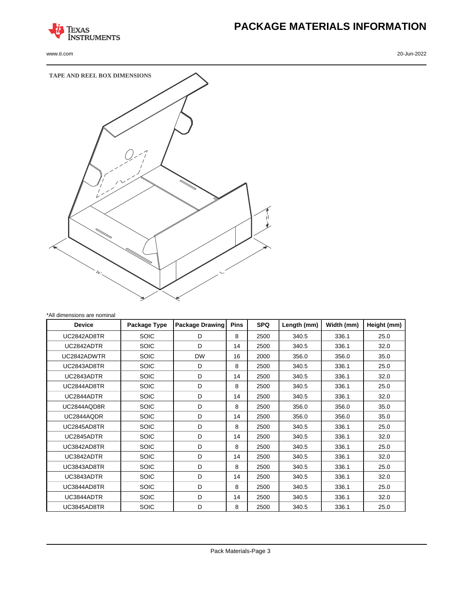

## **PACKAGE MATERIALS INFORMATION**



| <b>Device</b> | Package Type | <b>Package Drawing</b> | <b>Pins</b> | <b>SPQ</b> | Length (mm) | Width (mm) | Height (mm) |
|---------------|--------------|------------------------|-------------|------------|-------------|------------|-------------|
| UC2842AD8TR   | <b>SOIC</b>  | D                      | 8           | 2500       | 340.5       | 336.1      | 25.0        |
| UC2842ADTR    | <b>SOIC</b>  | D                      | 14          | 2500       | 340.5       | 336.1      | 32.0        |
| UC2842ADWTR   | <b>SOIC</b>  | <b>DW</b>              | 16          | 2000       | 356.0       | 356.0      | 35.0        |
| UC2843AD8TR   | <b>SOIC</b>  | D                      | 8           | 2500       | 340.5       | 336.1      | 25.0        |
| UC2843ADTR    | <b>SOIC</b>  | D                      | 14          | 2500       | 340.5       | 336.1      | 32.0        |
| UC2844AD8TR   | <b>SOIC</b>  | D                      | 8           | 2500       | 340.5       | 336.1      | 25.0        |
| UC2844ADTR    | <b>SOIC</b>  | D                      | 14          | 2500       | 340.5       | 336.1      | 32.0        |
| UC2844AQD8R   | <b>SOIC</b>  | D                      | 8           | 2500       | 356.0       | 356.0      | 35.0        |
| UC2844AQDR    | <b>SOIC</b>  | D                      | 14          | 2500       | 356.0       | 356.0      | 35.0        |
| UC2845AD8TR   | <b>SOIC</b>  | D                      | 8           | 2500       | 340.5       | 336.1      | 25.0        |
| UC2845ADTR    | <b>SOIC</b>  | D                      | 14          | 2500       | 340.5       | 336.1      | 32.0        |
| UC3842AD8TR   | <b>SOIC</b>  | D                      | 8           | 2500       | 340.5       | 336.1      | 25.0        |
| UC3842ADTR    | <b>SOIC</b>  | D                      | 14          | 2500       | 340.5       | 336.1      | 32.0        |
| UC3843AD8TR   | <b>SOIC</b>  | D                      | 8           | 2500       | 340.5       | 336.1      | 25.0        |
| UC3843ADTR    | <b>SOIC</b>  | D                      | 14          | 2500       | 340.5       | 336.1      | 32.0        |
| UC3844AD8TR   | <b>SOIC</b>  | D                      | 8           | 2500       | 340.5       | 336.1      | 25.0        |
| UC3844ADTR    | <b>SOIC</b>  | D                      | 14          | 2500       | 340.5       | 336.1      | 32.0        |
| UC3845AD8TR   | <b>SOIC</b>  | D                      | 8           | 2500       | 340.5       | 336.1      | 25.0        |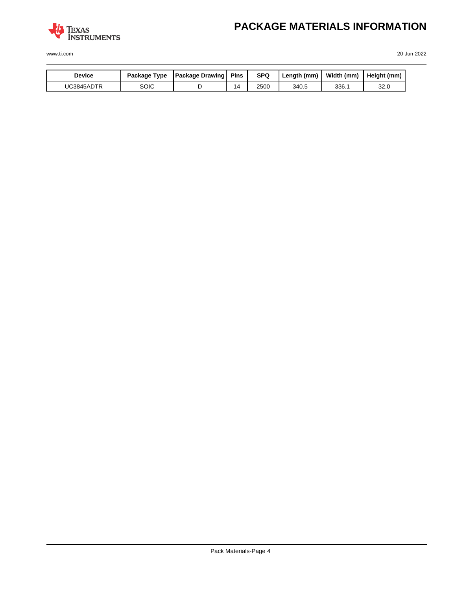

## **PACKAGE MATERIALS INFORMATION**

| <b>Device</b> | Package Type | <b>Package Drawing</b> | <b>Pins</b>    | <b>SPQ</b> | Length (mm) | Width (mm) | Height (mm) |
|---------------|--------------|------------------------|----------------|------------|-------------|------------|-------------|
| UC3845ADTR    | soic         |                        | $\overline{4}$ | 2500       | 340.5       | 336.1      | 32.0        |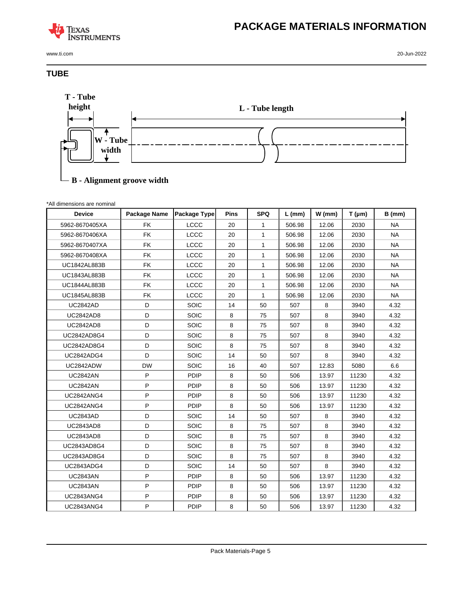### **TEXAS INSTRUMENTS**

www.ti.com 20-Jun-2022

#### **TUBE**



### **B - Alignment groove width**

| *All dimensions are nominal |  |
|-----------------------------|--|
|                             |  |

| <b>Device</b>       | Package Name | <b>Package Type</b> | <b>Pins</b> | <b>SPQ</b>   | $L$ (mm) | $W$ (mm) | $T(\mu m)$ | $B$ (mm)  |
|---------------------|--------------|---------------------|-------------|--------------|----------|----------|------------|-----------|
| 5962-8670405XA      | <b>FK</b>    | LCCC                | 20          | 1            | 506.98   | 12.06    | 2030       | <b>NA</b> |
| 5962-8670406XA      | <b>FK</b>    | LCCC                | 20          | $\mathbf{1}$ | 506.98   | 12.06    | 2030       | <b>NA</b> |
| 5962-8670407XA      | <b>FK</b>    | <b>LCCC</b>         | 20          | $\mathbf{1}$ | 506.98   | 12.06    | 2030       | <b>NA</b> |
| 5962-8670408XA      | <b>FK</b>    | LCCC                | 20          | $\mathbf{1}$ | 506.98   | 12.06    | 2030       | <b>NA</b> |
| <b>UC1842AL883B</b> | <b>FK</b>    | LCCC                | 20          | $\mathbf{1}$ | 506.98   | 12.06    | 2030       | <b>NA</b> |
| UC1843AL883B        | <b>FK</b>    | LCCC                | 20          | $\mathbf{1}$ | 506.98   | 12.06    | 2030       | <b>NA</b> |
| <b>UC1844AL883B</b> | FK           | LCCC                | 20          | 1            | 506.98   | 12.06    | 2030       | <b>NA</b> |
| <b>UC1845AL883B</b> | <b>FK</b>    | <b>LCCC</b>         | 20          | $\mathbf{1}$ | 506.98   | 12.06    | 2030       | <b>NA</b> |
| <b>UC2842AD</b>     | D            | SOIC                | 14          | 50           | 507      | 8        | 3940       | 4.32      |
| <b>UC2842AD8</b>    | D            | SOIC                | 8           | 75           | 507      | 8        | 3940       | 4.32      |
| <b>UC2842AD8</b>    | D            | SOIC                | 8           | 75           | 507      | 8        | 3940       | 4.32      |
| UC2842AD8G4         | D            | SOIC                | $\,8\,$     | 75           | 507      | 8        | 3940       | 4.32      |
| UC2842AD8G4         | D            | SOIC                | 8           | 75           | 507      | 8        | 3940       | 4.32      |
| <b>UC2842ADG4</b>   | D            | SOIC                | 14          | 50           | 507      | 8        | 3940       | 4.32      |
| UC2842ADW           | <b>DW</b>    | SOIC                | 16          | 40           | 507      | 12.83    | 5080       | 6.6       |
| <b>UC2842AN</b>     | ${\sf P}$    | PDIP                | 8           | 50           | 506      | 13.97    | 11230      | 4.32      |
| <b>UC2842AN</b>     | P            | PDIP                | 8           | 50           | 506      | 13.97    | 11230      | 4.32      |
| <b>UC2842ANG4</b>   | P            | <b>PDIP</b>         | 8           | 50           | 506      | 13.97    | 11230      | 4.32      |
| <b>UC2842ANG4</b>   | P            | PDIP                | 8           | 50           | 506      | 13.97    | 11230      | 4.32      |
| <b>UC2843AD</b>     | D            | SOIC                | 14          | 50           | 507      | 8        | 3940       | 4.32      |
| UC2843AD8           | D            | SOIC                | 8           | 75           | 507      | 8        | 3940       | 4.32      |
| <b>UC2843AD8</b>    | D            | SOIC                | $\,8\,$     | 75           | 507      | 8        | 3940       | 4.32      |
| UC2843AD8G4         | D            | SOIC                | 8           | 75           | 507      | 8        | 3940       | 4.32      |
| UC2843AD8G4         | D            | SOIC                | 8           | 75           | 507      | 8        | 3940       | 4.32      |
| <b>UC2843ADG4</b>   | D            | SOIC                | 14          | 50           | 507      | 8        | 3940       | 4.32      |
| <b>UC2843AN</b>     | $\sf P$      | PDIP                | 8           | 50           | 506      | 13.97    | 11230      | 4.32      |
| <b>UC2843AN</b>     | P            | PDIP                | 8           | 50           | 506      | 13.97    | 11230      | 4.32      |
| <b>UC2843ANG4</b>   | $\sf P$      | <b>PDIP</b>         | 8           | 50           | 506      | 13.97    | 11230      | 4.32      |
| <b>UC2843ANG4</b>   | $\sf P$      | <b>PDIP</b>         | $\,8\,$     | 50           | 506      | 13.97    | 11230      | 4.32      |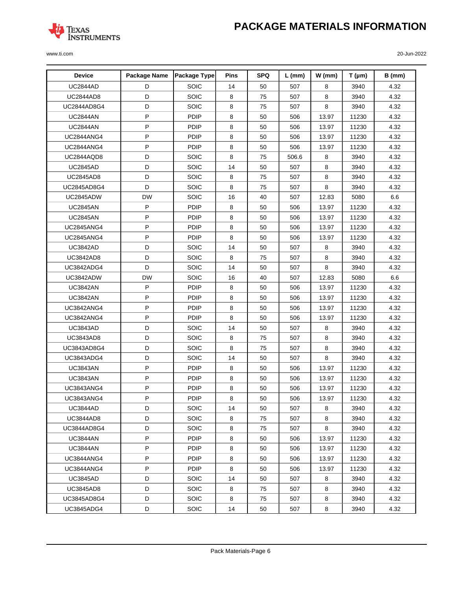# **PACKAGE MATERIALS INFORMATION**



| <b>Device</b>      | Package Name | Package Type | Pins | <b>SPQ</b> | $L$ (mm) | $W$ (mm) | $T(\mu m)$ | B (mm) |
|--------------------|--------------|--------------|------|------------|----------|----------|------------|--------|
| <b>UC2844AD</b>    | D            | SOIC         | 14   | 50         | 507      | 8        | 3940       | 4.32   |
| <b>UC2844AD8</b>   | D            | SOIC         | 8    | 75         | 507      | 8        | 3940       | 4.32   |
| <b>UC2844AD8G4</b> | D            | SOIC         | 8    | 75         | 507      | 8        | 3940       | 4.32   |
| <b>UC2844AN</b>    | P            | PDIP         | 8    | 50         | 506      | 13.97    | 11230      | 4.32   |
| <b>UC2844AN</b>    | P            | PDIP         | 8    | 50         | 506      | 13.97    | 11230      | 4.32   |
| <b>UC2844ANG4</b>  | P            | <b>PDIP</b>  | 8    | 50         | 506      | 13.97    | 11230      | 4.32   |
| <b>UC2844ANG4</b>  | $\mathsf P$  | PDIP         | 8    | 50         | 506      | 13.97    | 11230      | 4.32   |
| UC2844AQD8         | D            | SOIC         | 8    | 75         | 506.6    | 8        | 3940       | 4.32   |
| <b>UC2845AD</b>    | D            | SOIC         | 14   | 50         | 507      | 8        | 3940       | 4.32   |
| <b>UC2845AD8</b>   | D            | SOIC         | 8    | 75         | 507      | 8        | 3940       | 4.32   |
| UC2845AD8G4        | D            | SOIC         | 8    | 75         | 507      | 8        | 3940       | 4.32   |
| UC2845ADW          | <b>DW</b>    | SOIC         | 16   | 40         | 507      | 12.83    | 5080       | 6.6    |
| <b>UC2845AN</b>    | P            | <b>PDIP</b>  | 8    | 50         | 506      | 13.97    | 11230      | 4.32   |
| <b>UC2845AN</b>    | P            | <b>PDIP</b>  | 8    | 50         | 506      | 13.97    | 11230      | 4.32   |
| UC2845ANG4         | $\mathsf{P}$ | PDIP         | 8    | 50         | 506      | 13.97    | 11230      | 4.32   |
| UC2845ANG4         | $\sf P$      | PDIP         | 8    | 50         | 506      | 13.97    | 11230      | 4.32   |
| <b>UC3842AD</b>    | D            | <b>SOIC</b>  | 14   | 50         | 507      | 8        | 3940       | 4.32   |
| <b>UC3842AD8</b>   | D            | SOIC         | 8    | 75         | 507      | 8        | 3940       | 4.32   |
| UC3842ADG4         | D            | SOIC         | 14   | 50         | 507      | 8        | 3940       | 4.32   |
| UC3842ADW          | <b>DW</b>    | SOIC         | 16   | 40         | 507      | 12.83    | 5080       | 6.6    |
| <b>UC3842AN</b>    | P            | <b>PDIP</b>  | 8    | 50         | 506      | 13.97    | 11230      | 4.32   |
| <b>UC3842AN</b>    | P            | <b>PDIP</b>  | 8    | 50         | 506      | 13.97    | 11230      | 4.32   |
| UC3842ANG4         | $\mathsf{P}$ | PDIP         | 8    | 50         | 506      | 13.97    | 11230      | 4.32   |
| UC3842ANG4         | $\mathsf P$  | PDIP         | 8    | 50         | 506      | 13.97    | 11230      | 4.32   |
| <b>UC3843AD</b>    | D            | SOIC         | 14   | 50         | 507      | 8        | 3940       | 4.32   |
| <b>UC3843AD8</b>   | D            | SOIC         | 8    | 75         | 507      | 8        | 3940       | 4.32   |
| UC3843AD8G4        | D            | SOIC         | 8    | 75         | 507      | 8        | 3940       | 4.32   |
| UC3843ADG4         | D            | SOIC         | 14   | 50         | 507      | 8        | 3940       | 4.32   |
| <b>UC3843AN</b>    | P            | <b>PDIP</b>  | 8    | 50         | 506      | 13.97    | 11230      | 4.32   |
| <b>UC3843AN</b>    | $\sf P$      | <b>PDIP</b>  | 8    | 50         | 506      | 13.97    | 11230      | 4.32   |
| UC3843ANG4         | P            | PDIP         | 8    | 50         | 506      | 13.97    | 11230      | 4.32   |
| UC3843ANG4         | P            | PDIP         | 8    | 50         | 506      | 13.97    | 11230      | 4.32   |
| <b>UC3844AD</b>    | D            | <b>SOIC</b>  | 14   | 50         | 507      | 8        | 3940       | 4.32   |
| UC3844AD8          | D            | <b>SOIC</b>  | 8    | 75         | 507      | 8        | 3940       | 4.32   |
| UC3844AD8G4        | D            | <b>SOIC</b>  | 8    | 75         | 507      | 8        | 3940       | 4.32   |
| <b>UC3844AN</b>    | P            | <b>PDIP</b>  | 8    | 50         | 506      | 13.97    | 11230      | 4.32   |
| <b>UC3844AN</b>    | P            | <b>PDIP</b>  | 8    | 50         | 506      | 13.97    | 11230      | 4.32   |
| UC3844ANG4         | P            | <b>PDIP</b>  | 8    | 50         | 506      | 13.97    | 11230      | 4.32   |
| UC3844ANG4         | P            | <b>PDIP</b>  | 8    | 50         | 506      | 13.97    | 11230      | 4.32   |
| <b>UC3845AD</b>    | D            | <b>SOIC</b>  | 14   | 50         | 507      | 8        | 3940       | 4.32   |
| <b>UC3845AD8</b>   | D            | <b>SOIC</b>  | 8    | 75         | 507      | 8        | 3940       | 4.32   |
| UC3845AD8G4        | D            | <b>SOIC</b>  | 8    | 75         | 507      | 8        | 3940       | 4.32   |
| UC3845ADG4         | D            | <b>SOIC</b>  | 14   | 50         | 507      | 8        | 3940       | 4.32   |